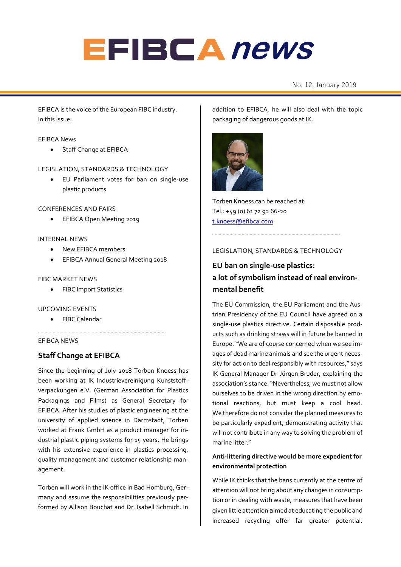# **EFIBCA** news

# No. 12, January 2019 **alerts** No. 12

EFIBCA is the voice of the European FIBC industry. In this issue:

### EFIBCA News

Staff Change at EFIBCA

### LEGISLATION, STANDARDS & TECHNOLOGY

• EU Parliament votes for ban on single-use plastic products

### CONFERENCES AND FAIRS

• EFIBCA Open Meeting 2019

### INTERNAL NEWS

- New EFIBCA members
- EFIBCA Annual General Meeting 2018

### FIBC MARKET NEWS

• FIBC Import Statistics

### UPCOMING EVENTS

• FIBC Calendar

### EFIBCA NEWS

# **Staff Change at EFIBCA**

Since the beginning of July 2018 Torben Knoess has been working at IK Industrievereinigung Kunststoffverpackungen e.V. (German Association for Plastics Packagings and Films) as General Secretary for EFIBCA. After his studies of plastic engineering at the university of applied science in Darmstadt, Torben worked at Frank GmbH as a product manager for industrial plastic piping systems for 15 years. He brings with his extensive experience in plastics processing, quality management and customer relationship management.

Torben will work in the IK office in Bad Homburg, Germany and assume the responsibilities previously performed by Allison Bouchat and Dr. Isabell Schmidt. In addition to EFIBCA, he will also deal with the topic packaging of dangerous goods at IK.



Torben Knoess can be reached at: Tel.: +49 (0) 61 72 92 66-20 [t.knoess@efibca.c](mailto:t.knoess@efibca.)om

### LEGISLATION, STANDARDS & TECHNOLOGY

# **EU ban on single-use plastics: a lot of symbolism instead of real environmental benefit**

The EU Commission, the EU Parliament and the Austrian Presidency of the EU Council have agreed on a single-use plastics directive. Certain disposable products such as drinking straws will in future be banned in Europe. "We are of course concerned when we see images of dead marine animals and see the urgent necessity for action to deal responsibly with resources," says IK General Manager Dr Jürgen Bruder, explaining the association's stance. "Nevertheless, we must not allow ourselves to be driven in the wrong direction by emotional reactions, but must keep a cool head. We therefore do not consider the planned measures to be particularly expedient, demonstrating activity that will not contribute in any way to solving the problem of marine litter."

# **Anti-littering directive would be more expedient for environmental protection**

While IK thinks that the bans currently at the centre of attention will not bring about any changes in consumption or in dealing with waste, measures that have been given little attention aimed at educating the public and increased recycling offer far greater potential.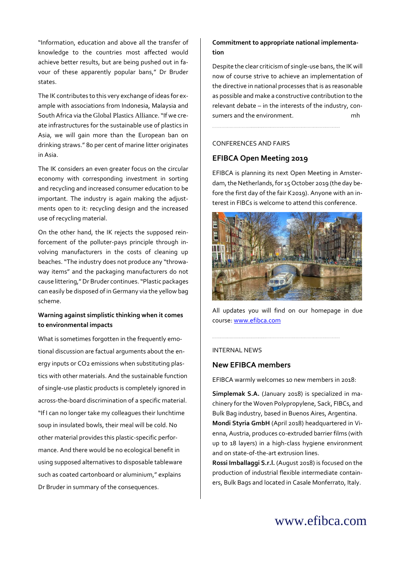"Information, education and above all the transfer of knowledge to the countries most affected would achieve better results, but are being pushed out in favour of these apparently popular bans," Dr Bruder states.

The IK contributes to this very exchange of ideas for example with associations from Indonesia, Malaysia and South Africa via the [Global Plastics Alliance](https://www.marinelittersolutions.com/). "If we create infrastructures for the sustainable use of plastics in Asia, we will gain more than the European ban on drinking straws." 80 per cent of marine litter originates in Asia.

The IK considers an even greater focus on the circular economy with corresponding investment in sorting and recycling and increased consumer education to be important. The industry is again making the adjustments open to it: recycling design and the increased use of recycling material.

On the other hand, the IK rejects the supposed reinforcement of the polluter-pays principle through involving manufacturers in the costs of cleaning up beaches. "The industry does not produce any "throwaway items" and the packaging manufacturers do not cause littering," Dr Bruder continues. "Plastic packages can easily be disposed of in Germany via the yellow bag scheme.

# **Warning against simplistic thinking when it comes to environmental impacts**

What is sometimes forgotten in the frequently emotional discussion are factual arguments about the energy inputs or CO2 emissions when substituting plastics with other materials. And the sustainable function of single-use plastic products is completely ignored in across-the-board discrimination of a specific material. "If I can no longer take my colleagues their lunchtime soup in insulated bowls, their meal will be cold. No other material provides this plastic-specific performance. And there would be no ecological benefit in using supposed alternatives to disposable tableware such as coated cartonboard or aluminium," explains Dr Bruder in summary of the consequences.

## **Commitment to appropriate national implementation**

Despite the clear criticism of single-use bans, the IK will now of course strive to achieve an implementation of the directive in national processes that is as reasonable as possible and make a constructive contribution to the relevant debate – in the interests of the industry, consumers and the environment. The most monomial

### CONFERENCES AND FAIRS

# **EFIBCA Open Meeting 2019**

EFIBCA is planning its next Open Meeting in Amsterdam, the Netherlands, for 15 October 2019 (the day before the first day of the fair K2019). Anyone with an interest in FIBCs is welcome to attend this conference.



All updates you will find on our homepage in due course[: www.efibca.com](http://www.efibca.com/)

### INTERNAL NEWS

### **New EFIBCA members**

EFIBCA warmly welcomes 10 new members in 2018:

**Simplemak S.A.** (January 2018) is specialized in machinery for the Woven Polypropylene, Sack, FIBCs, and Bulk Bag industry, based in Buenos Aires, Argentina. **Mondi Styria GmbH** (April 2018) headquartered in Vienna, Austria, produces co-extruded barrier films (with up to 18 layers) in a high-class hygiene environment and on state-of-the-art extrusion lines.

**Rossi Imballaggi S.r.l.** (August 2018) is focused on the production of industrial flexible intermediate containers, Bulk Bags and located in Casale Monferrato, Italy.

# www.efibca.com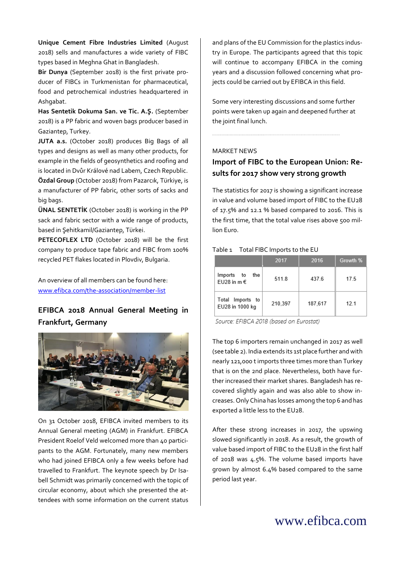**Unique Cement Fibre Industries Limited** (August 2018) sells and manufactures a wide variety of FIBC types based in Meghna Ghat in Bangladesh.

**Bir Dunya** (September 2018) is the first private producer of FIBCs in Turkmenistan for pharmaceutical, food and petrochemical industries headquartered in Ashgabat.

**Has Sentetik Dokuma San. ve Tic. A.Ş.** (September 2018) is a PP fabric and woven bags producer based in Gaziantep, Turkey.

**JUTA a.s.** (October 2018) produces Big Bags of all types and designs as well as many other products, for example in the fields of geosynthetics and roofing and is located in Dvůr Králové nad Labem, Czech Republic.

**Özdal Group** (October 2018) from Pazarcık, Türkiye, is a manufacturer of PP fabric, other sorts of sacks and big bags.

**ÜNAL SENTETİK** (October 2018) is working in the PP sack and fabric sector with a wide range of products, based in Şehitkamil/Gaziantep, Türkei.

**PETECOFLEX LTD** (October 2018) will be the first company to produce tape fabric and FIBC from 100% recycled PET flakes located in Plovdiv, Bulgaria.

An overview of all members can be found here: [www.efibca.com/the-association/member-list](http://www.efibca.com/the-association/member-list)

# **EFIBCA 2018 Annual General Meeting in Frankfurt, Germany**



On 31 October 2018, EFIBCA invited members to its Annual General meeting (AGM) in Frankfurt. EFIBCA President Roelof Veld welcomed more than 40 participants to the AGM. Fortunately, many new members who had joined EFIBCA only a few weeks before had travelled to Frankfurt. The keynote speech by Dr Isabell Schmidt was primarily concerned with the topic of circular economy, about which she presented the attendees with some information on the current status

and plans of the EU Commission for the plastics industry in Europe. The participants agreed that this topic will continue to accompany EFIBCA in the coming years and a discussion followed concerning what projects could be carried out by EFIBCA in this field.

Some very interesting discussions and some further points were taken up again and deepened further at the joint final lunch.

### MARKET NEWS

# **Import of FIBC to the European Union: Results for 2017 show very strong growth**

The statistics for 2017 is showing a significant increase in value and volume based import of FIBC to the EU28 of 17.5% and 12.1 % based compared to 2016. This is the first time, that the total value rises above 500 million Euro.

#### Table 1 Total FIBC Imports to the EU

|                                      | 2017    | 2016    | Growth % |
|--------------------------------------|---------|---------|----------|
| the<br>Imports to<br>EU28 in m $\in$ | 511.8   | 437.6   | 17.5     |
| Total Imports to<br>EU28 in 1000 kg  | 210,397 | 187,617 | 121      |

Source: EFIBCA 2018 (based on Eurostat)

The top 6 importers remain unchanged in 2017 as well (see table 2). India extends its 1st place further and with nearly 121,000 t imports three times more than Turkey that is on the 2nd place. Nevertheless, both have further increased their market shares. Bangladesh has recovered slightly again and was also able to show increases. Only China has losses among the top 6 and has exported a little less to the EU28.

After these strong increases in 2017, the upswing slowed significantly in 2018. As a result, the growth of value based import of FIBC to the EU28 in the first half of 2018 was 4.5%. The volume based imports have grown by almost 6.4% based compared to the same period last year.

# www.efibca.com